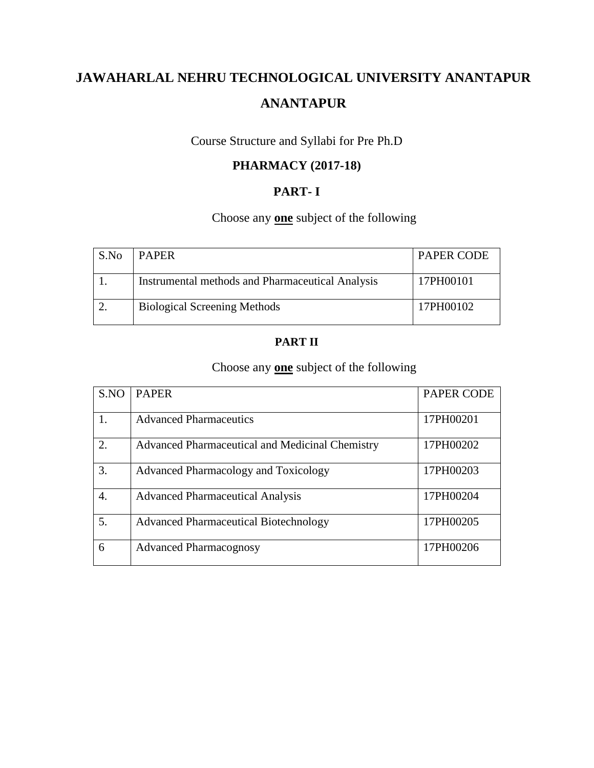# Course Structure and Syllabi for Pre Ph.D

# **PHARMACY (2017-18)**

# **PART- I**

# Choose any **one** subject of the following

| S.No | <b>PAPER</b>                                            | <b>PAPER CODE</b> |
|------|---------------------------------------------------------|-------------------|
|      | <b>Instrumental methods and Pharmaceutical Analysis</b> | 17PH00101         |
|      | <b>Biological Screening Methods</b>                     | 17PH00102         |

# **PART II**

# Choose any **one** subject of the following

| S.NO             | <b>PAPER</b>                                    | <b>PAPER CODE</b> |
|------------------|-------------------------------------------------|-------------------|
|                  | <b>Advanced Pharmaceutics</b>                   | 17PH00201         |
| $\overline{2}$ . | Advanced Pharmaceutical and Medicinal Chemistry | 17PH00202         |
| 3.               | Advanced Pharmacology and Toxicology            | 17PH00203         |
| $\overline{4}$ . | <b>Advanced Pharmaceutical Analysis</b>         | 17PH00204         |
| 5.               | <b>Advanced Pharmaceutical Biotechnology</b>    | 17PH00205         |
| 6                | <b>Advanced Pharmacognosy</b>                   | 17PH00206         |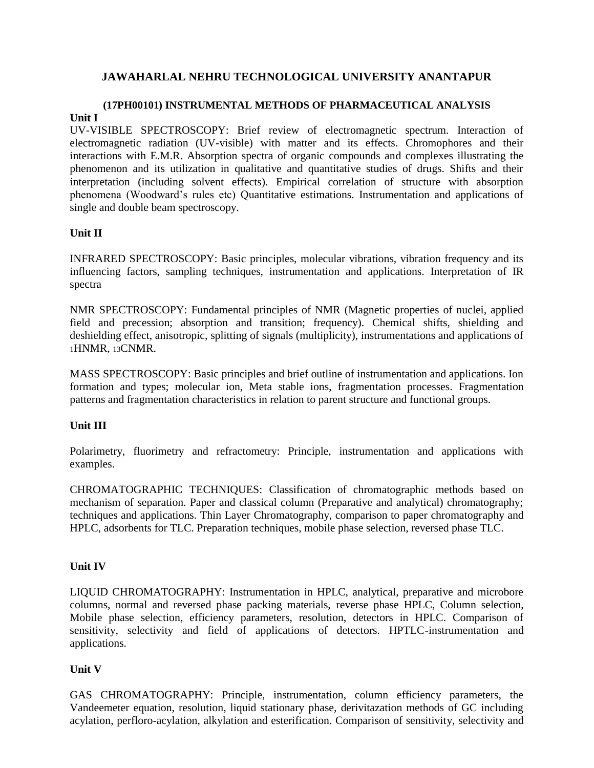### **(17PH00101) INSTRUMENTAL METHODS OF PHARMACEUTICAL ANALYSIS Unit I**

UV-VISIBLE SPECTROSCOPY: Brief review of electromagnetic spectrum. Interaction of electromagnetic radiation (UV-visible) with matter and its effects. Chromophores and their interactions with E.M.R. Absorption spectra of organic compounds and complexes illustrating the phenomenon and its utilization in qualitative and quantitative studies of drugs. Shifts and their interpretation (including solvent effects). Empirical correlation of structure with absorption phenomena (Woodward's rules etc) Quantitative estimations. Instrumentation and applications of single and double beam spectroscopy.

#### **Unit II**

INFRARED SPECTROSCOPY: Basic principles, molecular vibrations, vibration frequency and its influencing factors, sampling techniques, instrumentation and applications. Interpretation of IR spectra

NMR SPECTROSCOPY: Fundamental principles of NMR (Magnetic properties of nuclei, applied field and precession; absorption and transition; frequency). Chemical shifts, shielding and deshielding effect, anisotropic, splitting of signals (multiplicity), instrumentations and applications of <sup>1</sup>HNMR, 13CNMR.

MASS SPECTROSCOPY: Basic principles and brief outline of instrumentation and applications. Ion formation and types; molecular ion, Meta stable ions, fragmentation processes. Fragmentation patterns and fragmentation characteristics in relation to parent structure and functional groups.

#### **Unit III**

Polarimetry, fluorimetry and refractometry: Principle, instrumentation and applications with examples.

CHROMATOGRAPHIC TECHNIQUES: Classification of chromatographic methods based on mechanism of separation. Paper and classical column (Preparative and analytical) chromatography; techniques and applications. Thin Layer Chromatography, comparison to paper chromatography and HPLC, adsorbents for TLC. Preparation techniques, mobile phase selection, reversed phase TLC.

#### **Unit IV**

LIQUID CHROMATOGRAPHY: Instrumentation in HPLC, analytical, preparative and microbore columns, normal and reversed phase packing materials, reverse phase HPLC, Column selection, Mobile phase selection, efficiency parameters, resolution, detectors in HPLC. Comparison of sensitivity, selectivity and field of applications of detectors. HPTLC-instrumentation and applications.

#### **Unit V**

GAS CHROMATOGRAPHY: Principle, instrumentation, column efficiency parameters, the Vandeemeter equation, resolution, liquid stationary phase, derivitazation methods of GC including acylation, perfloro-acylation, alkylation and esterification. Comparison of sensitivity, selectivity and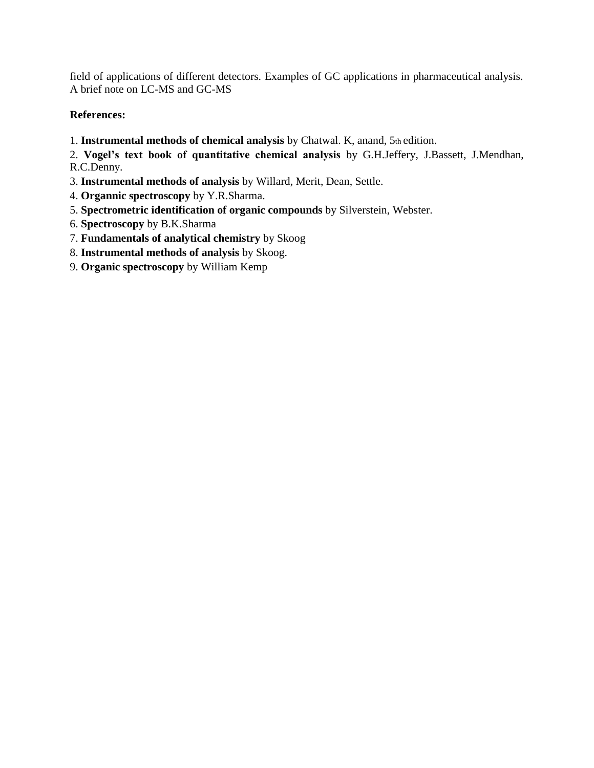field of applications of different detectors. Examples of GC applications in pharmaceutical analysis. A brief note on LC-MS and GC-MS

### **References:**

1. **Instrumental methods of chemical analysis** by Chatwal. K, anand, 5th edition.

2. **Vogel's text book of quantitative chemical analysis** by G.H.Jeffery, J.Bassett, J.Mendhan, R.C.Denny.

- 3. **Instrumental methods of analysis** by Willard, Merit, Dean, Settle.
- 4. **Organnic spectroscopy** by Y.R.Sharma.
- 5. **Spectrometric identification of organic compounds** by Silverstein, Webster.
- 6. **Spectroscopy** by B.K.Sharma
- 7. **Fundamentals of analytical chemistry** by Skoog
- 8. **Instrumental methods of analysis** by Skoog.
- 9. **Organic spectroscopy** by William Kemp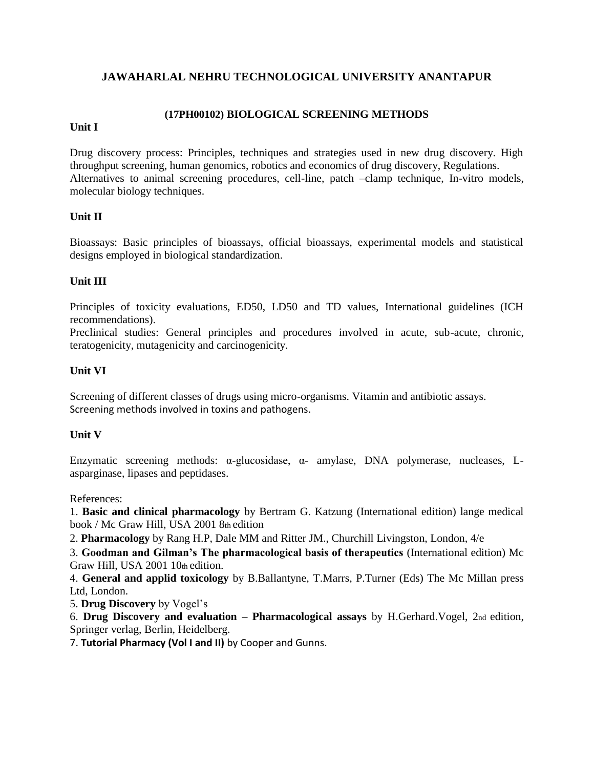### **(17PH00102) BIOLOGICAL SCREENING METHODS**

#### **Unit I**

Drug discovery process: Principles, techniques and strategies used in new drug discovery. High throughput screening, human genomics, robotics and economics of drug discovery, Regulations. Alternatives to animal screening procedures, cell-line, patch –clamp technique, In-vitro models, molecular biology techniques.

### **Unit II**

Bioassays: Basic principles of bioassays, official bioassays, experimental models and statistical designs employed in biological standardization.

### **Unit III**

Principles of toxicity evaluations, ED50, LD50 and TD values, International guidelines (ICH recommendations).

Preclinical studies: General principles and procedures involved in acute, sub-acute, chronic, teratogenicity, mutagenicity and carcinogenicity.

### **Unit VI**

Screening of different classes of drugs using micro-organisms. Vitamin and antibiotic assays. Screening methods involved in toxins and pathogens.

#### **Unit V**

Enzymatic screening methods: α-glucosidase, α- amylase, DNA polymerase, nucleases, Lasparginase, lipases and peptidases.

References:

1. **Basic and clinical pharmacology** by Bertram G. Katzung (International edition) lange medical book / Mc Graw Hill, USA 2001 8th edition

2. **Pharmacology** by Rang H.P, Dale MM and Ritter JM., Churchill Livingston, London, 4/e

3. **Goodman and Gilman's The pharmacological basis of therapeutics** (International edition) Mc Graw Hill, USA 2001 10th edition.

4. **General and applid toxicology** by B.Ballantyne, T.Marrs, P.Turner (Eds) The Mc Millan press Ltd, London.

5. **Drug Discovery** by Vogel's

6. **Drug Discovery and evaluation – Pharmacological assays** by H.Gerhard.Vogel, 2nd edition, Springer verlag, Berlin, Heidelberg.

7. **Tutorial Pharmacy (Vol I and II)** by Cooper and Gunns.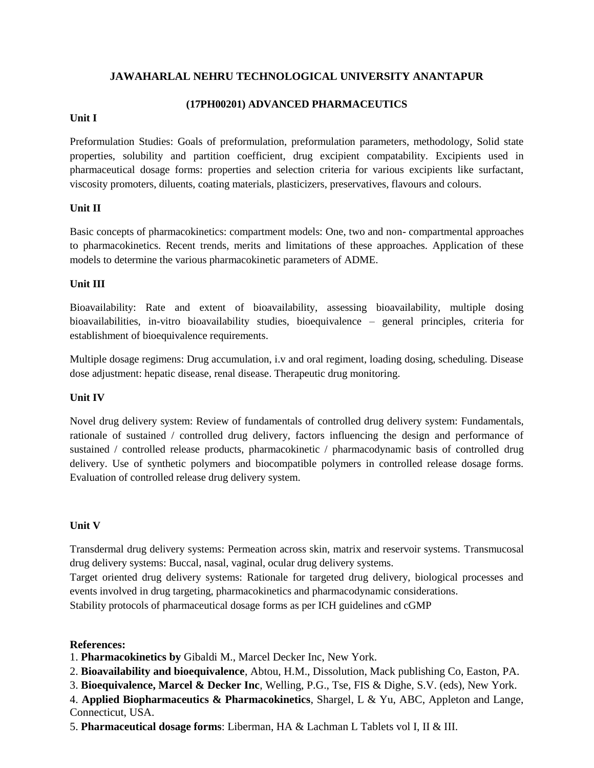#### **(17PH00201) ADVANCED PHARMACEUTICS**

#### **Unit I**

Preformulation Studies: Goals of preformulation, preformulation parameters, methodology, Solid state properties, solubility and partition coefficient, drug excipient compatability. Excipients used in pharmaceutical dosage forms: properties and selection criteria for various excipients like surfactant, viscosity promoters, diluents, coating materials, plasticizers, preservatives, flavours and colours.

#### **Unit II**

Basic concepts of pharmacokinetics: compartment models: One, two and non- compartmental approaches to pharmacokinetics. Recent trends, merits and limitations of these approaches. Application of these models to determine the various pharmacokinetic parameters of ADME.

#### **Unit III**

Bioavailability: Rate and extent of bioavailability, assessing bioavailability, multiple dosing bioavailabilities, in-vitro bioavailability studies, bioequivalence – general principles, criteria for establishment of bioequivalence requirements.

Multiple dosage regimens: Drug accumulation, i.v and oral regiment, loading dosing, scheduling. Disease dose adjustment: hepatic disease, renal disease. Therapeutic drug monitoring.

#### **Unit IV**

Novel drug delivery system: Review of fundamentals of controlled drug delivery system: Fundamentals, rationale of sustained / controlled drug delivery, factors influencing the design and performance of sustained / controlled release products, pharmacokinetic / pharmacodynamic basis of controlled drug delivery. Use of synthetic polymers and biocompatible polymers in controlled release dosage forms. Evaluation of controlled release drug delivery system.

#### **Unit V**

Transdermal drug delivery systems: Permeation across skin, matrix and reservoir systems. Transmucosal drug delivery systems: Buccal, nasal, vaginal, ocular drug delivery systems.

Target oriented drug delivery systems: Rationale for targeted drug delivery, biological processes and events involved in drug targeting, pharmacokinetics and pharmacodynamic considerations. Stability protocols of pharmaceutical dosage forms as per ICH guidelines and cGMP

#### **References:**

1. **Pharmacokinetics by** Gibaldi M., Marcel Decker Inc, New York.

- 2. **Bioavailability and bioequivalence**, Abtou, H.M., Dissolution, Mack publishing Co, Easton, PA.
- 3. **Bioequivalence, Marcel & Decker Inc**, Welling, P.G., Tse, FIS & Dighe, S.V. (eds), New York.

4. **Applied Biopharmaceutics & Pharmacokinetics**, Shargel, L & Yu, ABC, Appleton and Lange, Connecticut, USA.

5. **Pharmaceutical dosage forms**: Liberman, HA & Lachman L Tablets vol I, II & III.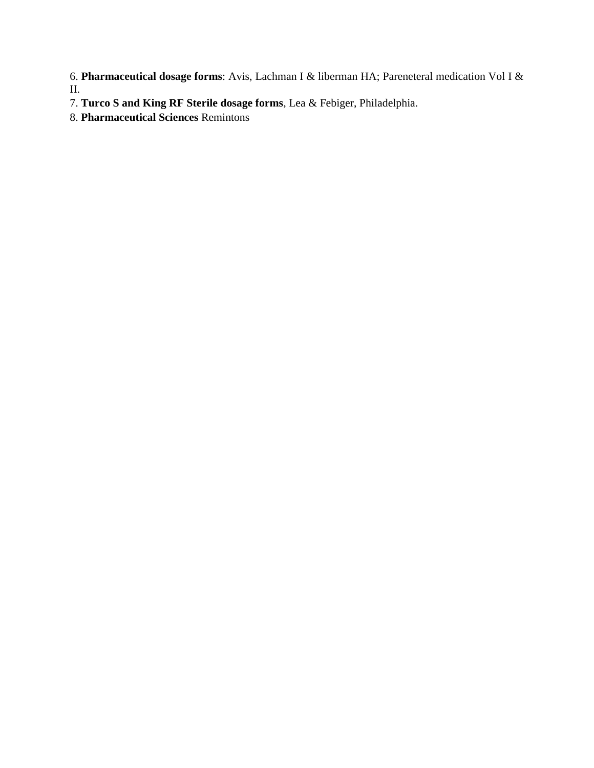6. **Pharmaceutical dosage forms**: Avis, Lachman I & liberman HA; Pareneteral medication Vol I & II.

- 7. **Turco S and King RF Sterile dosage forms**, Lea & Febiger, Philadelphia.
- 8. **Pharmaceutical Sciences** Remintons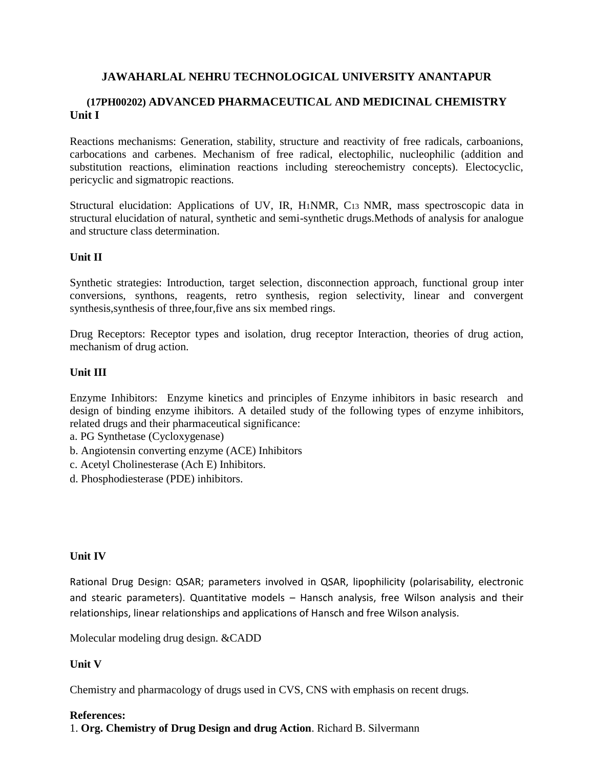### **(17PH00202) ADVANCED PHARMACEUTICAL AND MEDICINAL CHEMISTRY Unit I**

Reactions mechanisms: Generation, stability, structure and reactivity of free radicals, carboanions, carbocations and carbenes. Mechanism of free radical, electophilic, nucleophilic (addition and substitution reactions, elimination reactions including stereochemistry concepts). Electocyclic, pericyclic and sigmatropic reactions.

Structural elucidation: Applications of UV, IR, H1NMR, C13 NMR, mass spectroscopic data in structural elucidation of natural, synthetic and semi-synthetic drugs.Methods of analysis for analogue and structure class determination.

### **Unit II**

Synthetic strategies: Introduction, target selection, disconnection approach, functional group inter conversions, synthons, reagents, retro synthesis, region selectivity, linear and convergent synthesis,synthesis of three,four,five ans six membed rings.

Drug Receptors: Receptor types and isolation, drug receptor Interaction, theories of drug action, mechanism of drug action.

### **Unit III**

Enzyme Inhibitors: Enzyme kinetics and principles of Enzyme inhibitors in basic research and design of binding enzyme ihibitors. A detailed study of the following types of enzyme inhibitors, related drugs and their pharmaceutical significance:

a. PG Synthetase (Cycloxygenase)

- b. Angiotensin converting enzyme (ACE) Inhibitors
- c. Acetyl Cholinesterase (Ach E) Inhibitors.
- d. Phosphodiesterase (PDE) inhibitors.

#### **Unit IV**

Rational Drug Design: QSAR; parameters involved in QSAR, lipophilicity (polarisability, electronic and stearic parameters). Quantitative models – Hansch analysis, free Wilson analysis and their relationships, linear relationships and applications of Hansch and free Wilson analysis.

Molecular modeling drug design. &CADD

#### **Unit V**

Chemistry and pharmacology of drugs used in CVS, CNS with emphasis on recent drugs.

#### **References:**

1. **Org. Chemistry of Drug Design and drug Action**. Richard B. Silvermann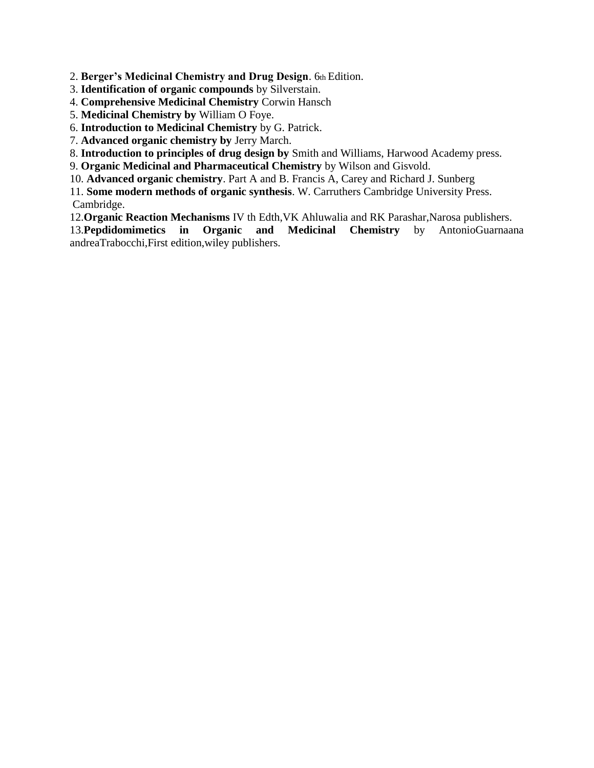2. **Berger's Medicinal Chemistry and Drug Design**. 6th Edition.

- 3. **Identification of organic compounds** by Silverstain.
- 4. **Comprehensive Medicinal Chemistry** Corwin Hansch
- 5. **Medicinal Chemistry by** William O Foye.
- 6. **Introduction to Medicinal Chemistry** by G. Patrick.
- 7. **Advanced organic chemistry by** Jerry March.
- 8. **Introduction to principles of drug design by** Smith and Williams, Harwood Academy press.
- 9. **Organic Medicinal and Pharmaceutical Chemistry** by Wilson and Gisvold.
- 10. **Advanced organic chemistry**. Part A and B. Francis A, Carey and Richard J. Sunberg
- 11. **Some modern methods of organic synthesis**. W. Carruthers Cambridge University Press. Cambridge.
- 12.**Organic Reaction Mechanisms** IV th Edth,VK Ahluwalia and RK Parashar,Narosa publishers.
- 13.**Pepdidomimetics in Organic and Medicinal Chemistry** by AntonioGuarnaana andreaTrabocchi,First edition,wiley publishers.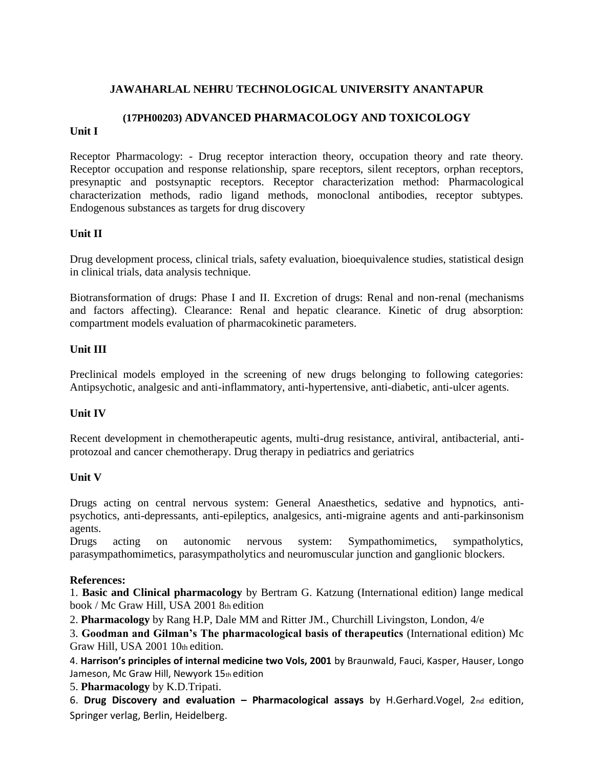### **(17PH00203) ADVANCED PHARMACOLOGY AND TOXICOLOGY**

#### **Unit I**

Receptor Pharmacology: - Drug receptor interaction theory, occupation theory and rate theory. Receptor occupation and response relationship, spare receptors, silent receptors, orphan receptors, presynaptic and postsynaptic receptors. Receptor characterization method: Pharmacological characterization methods, radio ligand methods, monoclonal antibodies, receptor subtypes. Endogenous substances as targets for drug discovery

#### **Unit II**

Drug development process, clinical trials, safety evaluation, bioequivalence studies, statistical design in clinical trials, data analysis technique.

Biotransformation of drugs: Phase I and II. Excretion of drugs: Renal and non-renal (mechanisms and factors affecting). Clearance: Renal and hepatic clearance. Kinetic of drug absorption: compartment models evaluation of pharmacokinetic parameters.

#### **Unit III**

Preclinical models employed in the screening of new drugs belonging to following categories: Antipsychotic, analgesic and anti-inflammatory, anti-hypertensive, anti-diabetic, anti-ulcer agents.

#### **Unit IV**

Recent development in chemotherapeutic agents, multi-drug resistance, antiviral, antibacterial, antiprotozoal and cancer chemotherapy. Drug therapy in pediatrics and geriatrics

#### **Unit V**

Drugs acting on central nervous system: General Anaesthetics, sedative and hypnotics, antipsychotics, anti-depressants, anti-epileptics, analgesics, anti-migraine agents and anti-parkinsonism agents.

Drugs acting on autonomic nervous system: Sympathomimetics, sympatholytics, parasympathomimetics, parasympatholytics and neuromuscular junction and ganglionic blockers.

#### **References:**

1. **Basic and Clinical pharmacology** by Bertram G. Katzung (International edition) lange medical book / Mc Graw Hill, USA 2001 8th edition

2. **Pharmacology** by Rang H.P, Dale MM and Ritter JM., Churchill Livingston, London, 4/e

3. **Goodman and Gilman's The pharmacological basis of therapeutics** (International edition) Mc Graw Hill, USA 2001 10th edition.

4. **Harrison's principles of internal medicine two Vols, 2001** by Braunwald, Fauci, Kasper, Hauser, Longo Jameson, Mc Graw Hill, Newyork 15th edition

5. **Pharmacology** by K.D.Tripati.

6. **Drug Discovery and evaluation – Pharmacological assays** by H.Gerhard.Vogel, 2nd edition, Springer verlag, Berlin, Heidelberg.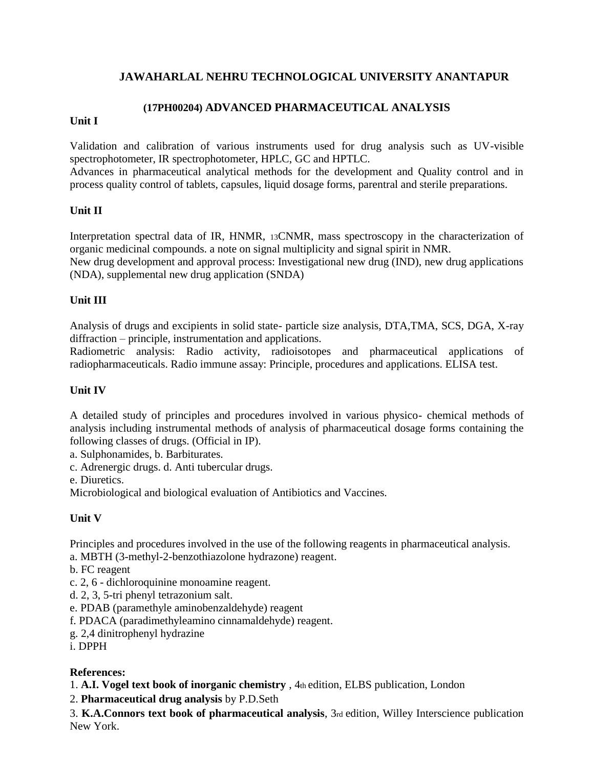### **(17PH00204) ADVANCED PHARMACEUTICAL ANALYSIS**

### **Unit I**

Validation and calibration of various instruments used for drug analysis such as UV-visible spectrophotometer, IR spectrophotometer, HPLC, GC and HPTLC.

Advances in pharmaceutical analytical methods for the development and Quality control and in process quality control of tablets, capsules, liquid dosage forms, parentral and sterile preparations.

### **Unit II**

Interpretation spectral data of IR, HNMR, 13CNMR, mass spectroscopy in the characterization of organic medicinal compounds. a note on signal multiplicity and signal spirit in NMR.

New drug development and approval process: Investigational new drug (IND), new drug applications (NDA), supplemental new drug application (SNDA)

### **Unit III**

Analysis of drugs and excipients in solid state- particle size analysis, DTA,TMA, SCS, DGA, X-ray diffraction – principle, instrumentation and applications.

Radiometric analysis: Radio activity, radioisotopes and pharmaceutical applications of radiopharmaceuticals. Radio immune assay: Principle, procedures and applications. ELISA test.

### **Unit IV**

A detailed study of principles and procedures involved in various physico- chemical methods of analysis including instrumental methods of analysis of pharmaceutical dosage forms containing the following classes of drugs. (Official in IP).

a. Sulphonamides, b. Barbiturates.

c. Adrenergic drugs. d. Anti tubercular drugs.

e. Diuretics.

Microbiological and biological evaluation of Antibiotics and Vaccines.

### **Unit V**

Principles and procedures involved in the use of the following reagents in pharmaceutical analysis. a. MBTH (3-methyl-2-benzothiazolone hydrazone) reagent.

- b. FC reagent
- c. 2, 6 dichloroquinine monoamine reagent.
- d. 2, 3, 5-tri phenyl tetrazonium salt.
- e. PDAB (paramethyle aminobenzaldehyde) reagent
- f. PDACA (paradimethyleamino cinnamaldehyde) reagent.
- g. 2,4 dinitrophenyl hydrazine
- i. DPPH

### **References:**

- 1. **A.I. Vogel text book of inorganic chemistry** , 4th edition, ELBS publication, London
- 2. **Pharmaceutical drug analysis** by P.D.Seth

3. **K.A.Connors text book of pharmaceutical analysis**, 3rd edition, Willey Interscience publication New York.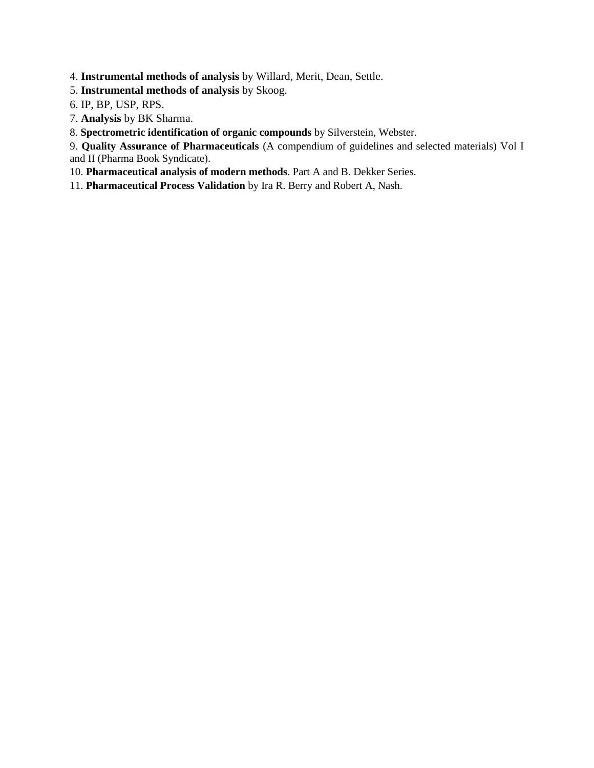4. **Instrumental methods of analysis** by Willard, Merit, Dean, Settle.

5. **Instrumental methods of analysis** by Skoog.

6. IP, BP, USP, RPS.

7. **Analysis** by BK Sharma.

8. **Spectrometric identification of organic compounds** by Silverstein, Webster.

9. **Quality Assurance of Pharmaceuticals** (A compendium of guidelines and selected materials) Vol I and II (Pharma Book Syndicate).

10. **Pharmaceutical analysis of modern methods**. Part A and B. Dekker Series.

11. **Pharmaceutical Process Validation** by Ira R. Berry and Robert A, Nash.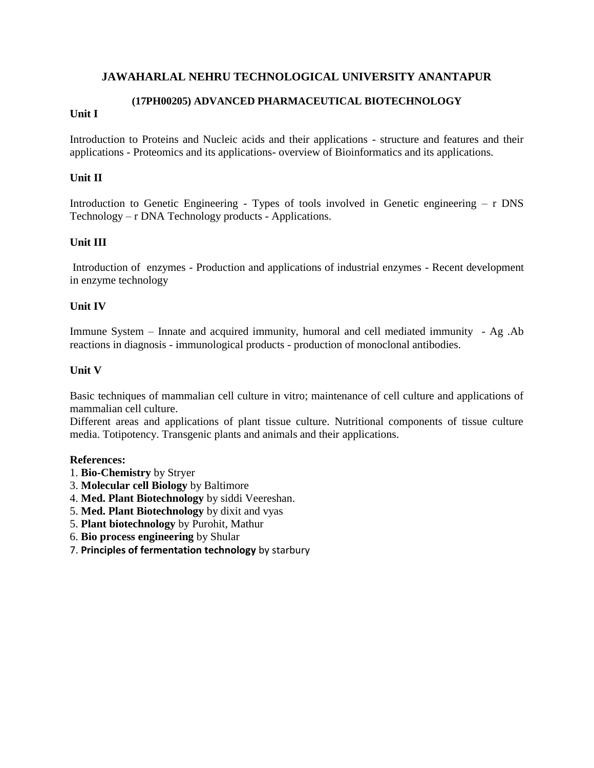### **(17PH00205) ADVANCED PHARMACEUTICAL BIOTECHNOLOGY**

### **Unit I**

Introduction to Proteins and Nucleic acids and their applications - structure and features and their applications - Proteomics and its applications- overview of Bioinformatics and its applications.

### **Unit II**

Introduction to Genetic Engineering - Types of tools involved in Genetic engineering – r DNS Technology – r DNA Technology products - Applications.

### **Unit III**

Introduction of enzymes - Production and applications of industrial enzymes - Recent development in enzyme technology

### **Unit IV**

Immune System – Innate and acquired immunity, humoral and cell mediated immunity - Ag .Ab reactions in diagnosis - immunological products - production of monoclonal antibodies.

#### **Unit V**

Basic techniques of mammalian cell culture in vitro; maintenance of cell culture and applications of mammalian cell culture.

Different areas and applications of plant tissue culture. Nutritional components of tissue culture media. Totipotency. Transgenic plants and animals and their applications.

#### **References:**

- 1. **Bio-Chemistry** by Stryer
- 3. **Molecular cell Biology** by Baltimore
- 4. **Med. Plant Biotechnology** by siddi Veereshan.
- 5. **Med. Plant Biotechnology** by dixit and vyas
- 5. **Plant biotechnology** by Purohit, Mathur
- 6. **Bio process engineering** by Shular
- 7. **Principles of fermentation technology** by starbury